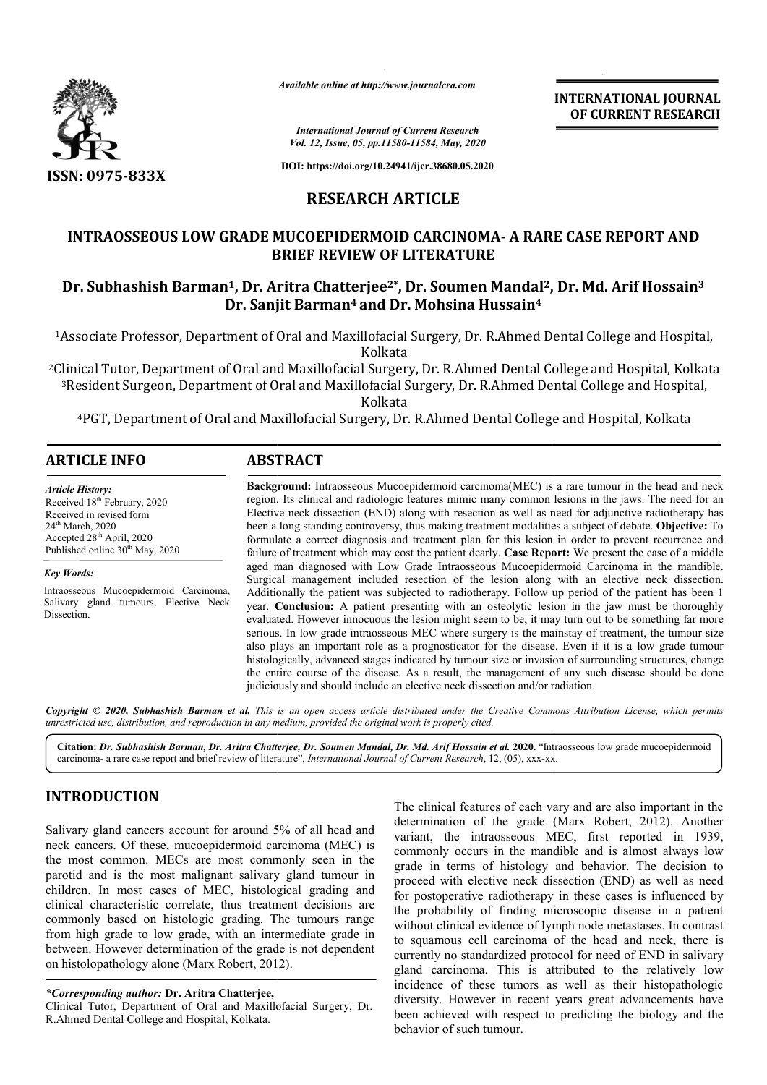

*Available online at http://www.journalcra.com*

**INTERNATIONAL JOURNAL OF CURRENT RESEARCH**

*International Journal of Current Research Vol. 12, Issue, 05, pp.11580-11584, May, 2020*

**DOI: https://doi.org/10.24941/ijcr.38680.05.2020**

### **RESEARCH ARTICLE**

# **INTRAOSSEOUS LOW GRADE MUCOEPIDERMOID CARCINOMA CARCINOMA- A RARE CASE REPORT AND BRIEF REVIEW OF LITERATURE** INTRAOSSEOUS LOW GRADE MUCOEPIDERMOID CARCINOMA- A RARE CASE REPORT AND<br>BRIEF REVIEW OF LITERATURE<br>Dr. Subhashish Barman<sup>1</sup>, Dr. Aritra Chatterjee<sup>2\*</sup>, Dr. Soumen Mandal<sup>2</sup>, Dr. Md. Arif Hossain<sup>3</sup>

# **Dr. Sanjit Barman Barman4 and Dr. Mohsina Hussain4**

<sup>1</sup>Associate Professor, Department of Oral and Maxillofacial Surgery, Dr. R.Ahmed Dental College and Hospital, Kolkata

<sup>2</sup>Clinical Tutor, Department of Oral and Maxillofacial Surgery, Dr. R.Ahmed Dental College and Hospital, Kolkata <sup>3</sup>Resident Surgeon, Department of Oral and Maxillofacial Surgery, Dr. R.Ahmed Dental College and Hospital, Kolkata

4PGT, Department of Oral and Maxillofacial Surgery, Dr. PGT, R.Ahmed Dental College and Hospital, Kolkata

| <b>ARTICLE INFO</b> |                                                                                                     |
|---------------------|-----------------------------------------------------------------------------------------------------|
| .                   | <b>Rackground:</b> Intraosseous Mucoepidermoid carcinoma(MFC) is a rare tumour in the head and neck |

*Article History:* Received 18<sup>th</sup> February, 2020 Received in revised form 24th March, 2020 Accepted 28<sup>th</sup> April, 2020 Published online 30<sup>th</sup> May, 2020

*Key Words:*

Intraosseous Mucoepidermoid Carcinoma, Salivary gland tumours, Elective Neck Dissection.

**Background:** region. Its clinical and radiologic features mimic many common lesions in the jaws. The need for an Background: Intraosseous Mucoepidermoid carcinoma(MEC) is a rare tumour in the head and neck region. Its clinical and radiologic features mimic many common lesions in the jaws. The need for an Elective neck dissection (END been a long standing controversy, thus making treatment modalities a subject of debate. Objective: To formulate a correct diagnosis and treatment plan for this lesion in order to prevent recurrence and formulate a correct diagnosis and treatment plan for this lesion in order to prevent recurrence and failure of treatment which may cost the patient dearly. **Case Report:** We present the case of a middle aged man diagnosed with Low Grade Intraosseous Mucoepidermoid Carcinoma in the mandible. Surgical management included resection of the lesion along with an elective neck dissection. Additionally the patient was subjected to radiotherapy. Follow up period of the patient has been 1 Additionally the patient was subjected to radiotherapy. Follow up period of the patient has been 1 year. **Conclusion:** A patient presenting with an osteolytic lesion in the jaw must be thoroughly aged man diagnosed with Low Grade Intraosseous Mucoepidermoid Carcinoma in the mandible.<br>Surgical management included resection of the lesion along with an elective neck dissection.<br>Additionally the patient was subjected t serious. In low grade intraosseous MEC where surgery is the mainstay of treatment, the tumour size also plays an important role as a prognosticator for the disease. Even if it is a low grade tumour histologically, advanced stages indicated by tumour size or invasion of surrounding structures, change the entire course of the disease. As a result, the management of any such disease should be done judiciously and should include an elective neck dissection and/or radiation. epidermoid carcinoma(ME serious. In low grade intraosseous MEC where surgery is the mainstay of treatment, the tumour size also plays an important role as a prognosticator for the disease. Even if it is a low grade tumour histologically, advanced

Copyright © 2020, Subhashish Barman et al. This is an open access article distributed under the Creative Commons Attribution License, which permits *unrestricted use, distribution, and reproduction in any medium, provided the original work is properly cited.*

Citation: *Dr. Subhashish Barman, Dr. Aritra Chatterjee, Dr. Soumen Mandal, Dr. Md. Arif Hossain et al. 2020. "Intraosseous low grade mucoepidermoid carcinoma- a rare case report and brief review of literature", <i>Internati* carcinoma- a rare case report and brief review of literature", *International Journal of Current Research*, 12, (05), xxx-xx

## **INTRODUCTION**

Salivary gland cancers account for around 5% of all head and neck cancers. Of these, mucoepidermoid carcinoma (MEC) is the most common. MECs are most commonly seen in the parotid and is the most malignant salivary gland tumour in children. In most cases of MEC, histological grading and clinical characteristic correlate, thus treatment decisions are commonly based on histologic grading. The tumours range from high grade to low grade, with an intermediate grade in between. However determination of the grade is not dependent on histolopathology alone (Marx Robert, 2012 de to low grade, with an intermeter determination of the grade is<br>ology alone (Marx Robert, 2012).

*\*Corresponding author:* **Dr. Aritra Chatterjee,**

Clinical Tutor, Department of Oral and Maxillofacial Surgery, Dr. R.Ahmed Dental College and Hospital, Kolkata.

The clinical features of each vary and are also important in the The clinical features of each vary and are also important in the determination of the grade (Marx Robert, 2012). Another variant, the intraosseous MEC, first reported in 1939, variant, the intraosseous MEC, first reported in 1939, commonly occurs in the mandible and is almost always low grade in terms of histology and behavior. The decision to proceed with elective neck dissection (END) as well as need for postoperative radiotherapy in these cases is influenced by the probability of finding microscopic disease in a patient without clinical evidence of lymph node metastases. In contrast to squamous cell carcinoma of the head and neck, there is currently no standardized protocol for need of END in salivary without clinical evidence of lymph node metastases. In contrast<br>to squamous cell carcinoma of the head and neck, there is<br>currently no standardized protocol for need of END in salivary<br>gland carcinoma. This is attributed t incidence of these tumors as well as their histopathologic diversity. However in recent years great advancements have been achieved with respect to predicting the biology and the behavior of such tumour. dissection (END) as well as need postoperative radiotherapy in these cases is influenced by probability of finding microscopic disease in a patient INTERNATIONAL JOURNAL<br>
OF CURRENT RESEARCH<br>
OF CURRENT RESEARCH<br>
OF CURRENT RESEARCH<br>
A PARE CASE REPORT AND<br>
and al<sup>12</sup>, Dr. Md. Arif Hossain<sup>3</sup><br>
ssain<sup>4</sup><br>
Ahmed Dental College and Hospital, Kolkata<br>
hmed Dental College a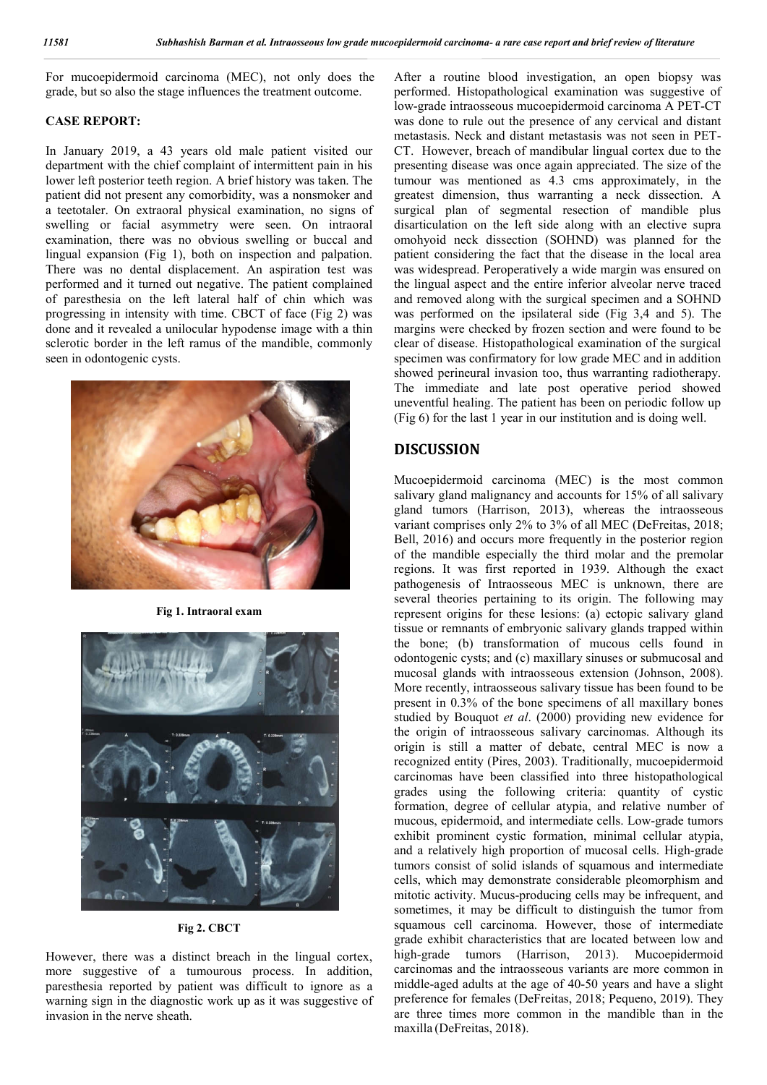For mucoepidermoid carcinoma (MEC), not only does the grade, but so also the stage influences the treatment outcome.

#### **CASE REPORT:**

In January 2019, a 43 years old male patient visited our department with the chief complaint of intermittent pain in his lower left posterior teeth region. A brief history was taken. The patient did not present any comorbidity, was a nonsmoker and a teetotaler. On extraoral physical examination, no signs of swelling or facial asymmetry were seen. On intraoral examination, there was no obvious swelling or buccal and lingual expansion (Fig 1), both on inspection and palpation. There was no dental displacement. An aspiration test was performed and it turned out negative. The patient complained of paresthesia on the left lateral half of chin which was progressing in intensity with time. CBCT of face (Fig 2) was done and it revealed a unilocular hypodense image with a thin sclerotic border in the left ramus of the mandible, commonly seen in odontogenic cysts.



**Fig 1. Intraoral exam**



**Fig 2. CBCT**

However, there was a distinct breach in the lingual cortex, more suggestive of a tumourous process. In addition, paresthesia reported by patient was difficult to ignore as a warning sign in the diagnostic work up as it was suggestive of invasion in the nerve sheath.

After a routine blood investigation, an open biopsy was performed. Histopathological examination was suggestive of low-grade intraosseous mucoepidermoid carcinoma A PET-CT was done to rule out the presence of any cervical and distant metastasis. Neck and distant metastasis was not seen in PET-CT. However, breach of mandibular lingual cortex due to the presenting disease was once again appreciated. The size of the tumour was mentioned as 4.3 cms approximately, in the greatest dimension, thus warranting a neck dissection. A surgical plan of segmental resection of mandible plus disarticulation on the left side along with an elective supra omohyoid neck dissection (SOHND) was planned for the patient considering the fact that the disease in the local area was widespread. Peroperatively a wide margin was ensured on the lingual aspect and the entire inferior alveolar nerve traced and removed along with the surgical specimen and a SOHND was performed on the ipsilateral side (Fig 3,4 and 5). The margins were checked by frozen section and were found to be clear of disease. Histopathological examination of the surgical specimen was confirmatory for low grade MEC and in addition showed perineural invasion too, thus warranting radiotherapy. The immediate and late post operative period showed uneventful healing. The patient has been on periodic follow up (Fig 6) for the last 1 year in our institution and is doing well.

#### **DISCUSSION**

Mucoepidermoid carcinoma (MEC) is the most common salivary gland malignancy and accounts for 15% of all salivary gland tumors (Harrison, 2013), whereas the intraosseous variant comprises only 2% to 3% of all MEC (DeFreitas, 2018; Bell, 2016) and occurs more frequently in the posterior region of the mandible especially the third molar and the premolar regions. It was first reported in 1939. Although the exact pathogenesis of Intraosseous MEC is unknown, there are several theories pertaining to its origin. The following may represent origins for these lesions: (a) ectopic salivary gland tissue or remnants of embryonic salivary glands trapped within the bone; (b) transformation of mucous cells found in odontogenic cysts; and (c) maxillary sinuses or submucosal and mucosal glands with intraosseous extension (Johnson, 2008). More recently, intraosseous salivary tissue has been found to be present in 0.3% of the bone specimens of all maxillary bones studied by Bouquot *et al*. (2000) providing new evidence for the origin of intraosseous salivary carcinomas. Although its origin is still a matter of debate, central MEC is now a recognized entity (Pires, 2003). Traditionally, mucoepidermoid carcinomas have been classified into three histopathological grades using the following criteria: quantity of cystic formation, degree of cellular atypia, and relative number of mucous, epidermoid, and intermediate cells. Low-grade tumors exhibit prominent cystic formation, minimal cellular atypia, and a relatively high proportion of mucosal cells. High-grade tumors consist of solid islands of squamous and intermediate cells, which may demonstrate considerable pleomorphism and mitotic activity. Mucus-producing cells may be infrequent, and sometimes, it may be difficult to distinguish the tumor from squamous cell carcinoma. However, those of intermediate grade exhibit characteristics that are located between low and high-grade tumors (Harrison, 2013). Mucoepidermoid carcinomas and the intraosseous variants are more common in middle-aged adults at the age of 40-50 years and have a slight preference for females (DeFreitas, 2018; Pequeno, 2019). They are three times more common in the mandible than in the maxilla (DeFreitas, 2018).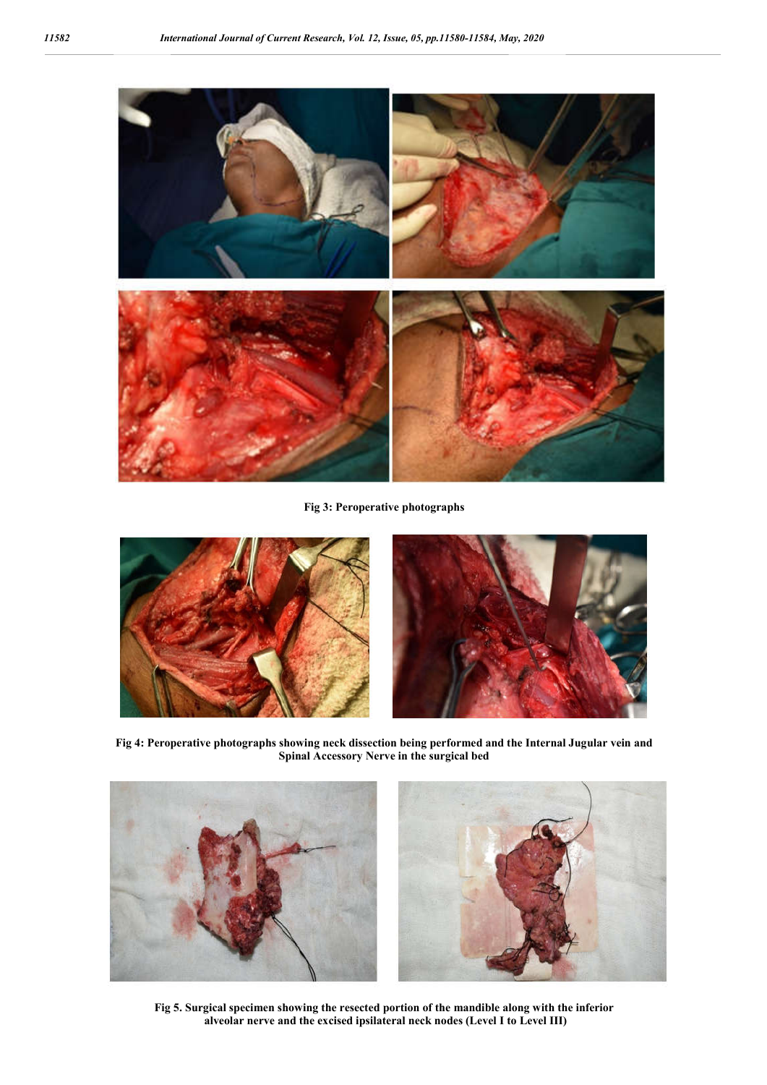

**Fig 3: Peroperative photographs**



**Fig 4: Peroperative photographs showing neck dissection being performed and the Internal Jugular vein and Spinal Accessory Nerve in the surgical bed**



**Fig 5. Surgical specimen showing the resected portion of the mandible along with the inferior alveolar nerve and the excised ipsilateral neck nodes (Level I to Level III)**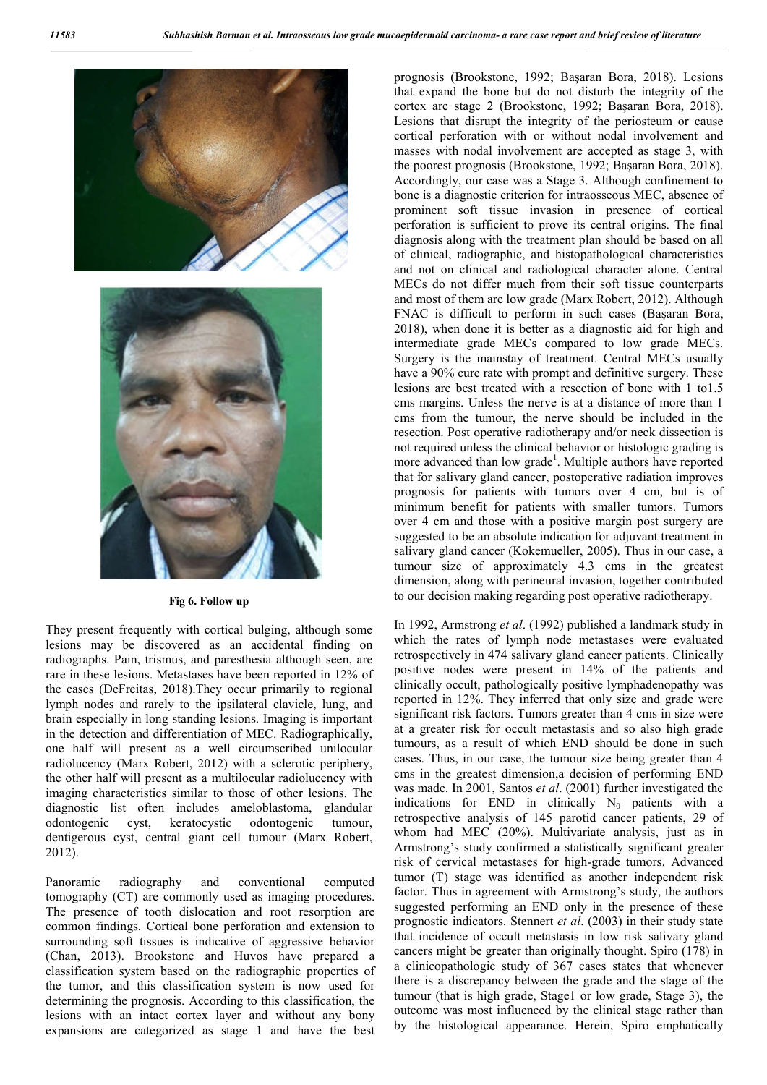

#### **Fig 6. Follow up**

They present frequently with cortical bulging, although some lesions may be discovered as an accidental finding on radiographs. Pain, trismus, and paresthesia although seen, are rare in these lesions. Metastases have been reported in 12% of the cases (DeFreitas, 2018).They occur primarily to regional lymph nodes and rarely to the ipsilateral clavicle, lung, and brain especially in long standing lesions. Imaging is important in the detection and differentiation of MEC. Radiographically, one half will present as a well circumscribed unilocular radiolucency (Marx Robert, 2012) with a sclerotic periphery, the other half will present as a multilocular radiolucency with imaging characteristics similar to those of other lesions. The diagnostic list often includes ameloblastoma, glandular odontogenic cyst, keratocystic odontogenic tumour, dentigerous cyst, central giant cell tumour (Marx Robert, 2012).

Panoramic radiography and conventional computed tomography (CT) are commonly used as imaging procedures. The presence of tooth dislocation and root resorption are common findings. Cortical bone perforation and extension to surrounding soft tissues is indicative of aggressive behavior (Chan, 2013). Brookstone and Huvos have prepared a classification system based on the radiographic properties of the tumor, and this classification system is now used for determining the prognosis. According to this classification, the lesions with an intact cortex layer and without any bony expansions are categorized as stage 1 and have the best prognosis (Brookstone, 1992; Başaran Bora, 2018). Lesions that expand the bone but do not disturb the integrity of the cortex are stage 2 (Brookstone, 1992; Başaran Bora, 2018). Lesions that disrupt the integrity of the periosteum or cause cortical perforation with or without nodal involvement and masses with nodal involvement are accepted as stage 3, with the poorest prognosis (Brookstone, 1992; Başaran Bora, 2018). Accordingly, our case was a Stage 3. Although confinement to bone is a diagnostic criterion for intraosseous MEC, absence of prominent soft tissue invasion in presence of cortical perforation is sufficient to prove its central origins. The final diagnosis along with the treatment plan should be based on all of clinical, radiographic, and histopathological characteristics and not on clinical and radiological character alone. Central MECs do not differ much from their soft tissue counterparts and most of them are low grade (Marx Robert, 2012). Although FNAC is difficult to perform in such cases (Başaran Bora, 2018), when done it is better as a diagnostic aid for high and intermediate grade MECs compared to low grade MECs. Surgery is the mainstay of treatment. Central MECs usually have a 90% cure rate with prompt and definitive surgery. These lesions are best treated with a resection of bone with 1 to1.5 cms margins. Unless the nerve is at a distance of more than 1 cms from the tumour, the nerve should be included in the resection. Post operative radiotherapy and/or neck dissection is not required unless the clinical behavior or histologic grading is more advanced than low grade<sup>1</sup>. Multiple authors have reported that for salivary gland cancer, postoperative radiation improves prognosis for patients with tumors over 4 cm, but is of minimum benefit for patients with smaller tumors. Tumors over 4 cm and those with a positive margin post surgery are suggested to be an absolute indication for adjuvant treatment in salivary gland cancer (Kokemueller, 2005). Thus in our case, a tumour size of approximately 4.3 cms in the greatest dimension, along with perineural invasion, together contributed to our decision making regarding post operative radiotherapy.

In 1992, Armstrong *et al*. (1992) published a landmark study in which the rates of lymph node metastases were evaluated retrospectively in 474 salivary gland cancer patients. Clinically positive nodes were present in 14% of the patients and clinically occult, pathologically positive lymphadenopathy was reported in 12%. They inferred that only size and grade were significant risk factors. Tumors greater than 4 cms in size were at a greater risk for occult metastasis and so also high grade tumours, as a result of which END should be done in such cases. Thus, in our case, the tumour size being greater than 4 cms in the greatest dimension,a decision of performing END was made. In 2001, Santos *et al*. (2001) further investigated the indications for END in clinically  $N_0$  patients with a retrospective analysis of 145 parotid cancer patients, 29 of whom had MEC (20%). Multivariate analysis, just as in Armstrong's study confirmed a statistically significant greater risk of cervical metastases for high-grade tumors. Advanced tumor (T) stage was identified as another independent risk factor. Thus in agreement with Armstrong's study, the authors suggested performing an END only in the presence of these prognostic indicators. Stennert *et al*. (2003) in their study state that incidence of occult metastasis in low risk salivary gland cancers might be greater than originally thought. Spiro (178) in a clinicopathologic study of 367 cases states that whenever there is a discrepancy between the grade and the stage of the tumour (that is high grade, Stage1 or low grade, Stage 3), the outcome was most influenced by the clinical stage rather than by the histological appearance. Herein, Spiro emphatically